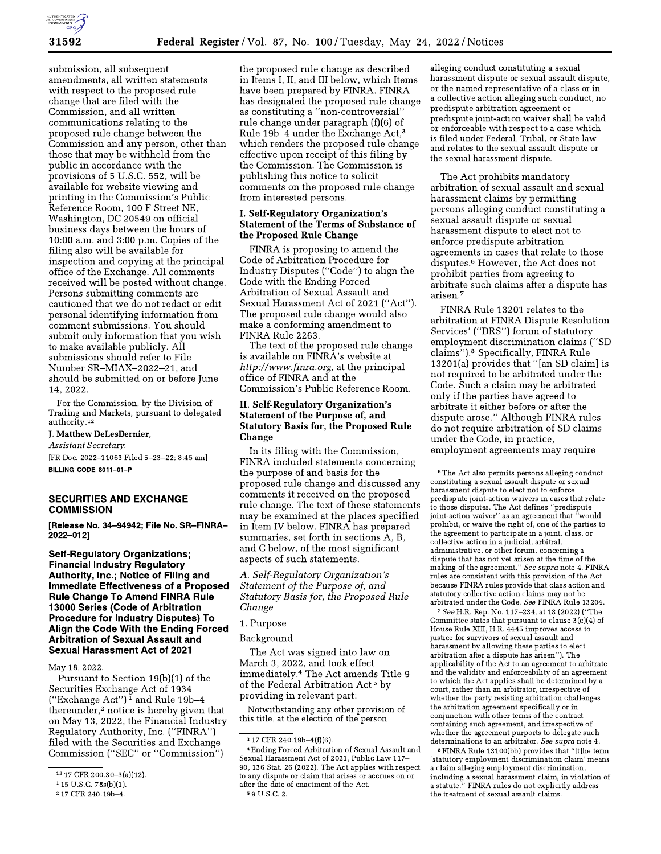

submission, all subsequent amendments, all written statements with respect to the proposed rule change that are filed with the Commission, and all written communications relating to the proposed rule change between the Commission and any person, other than those that may be withheld from the public in accordance with the provisions of 5 U.S.C. 552, will be available for website viewing and printing in the Commission's Public Reference Room, 100 F Street NE, Washington, DC 20549 on official business days between the hours of 10:00 a.m. and 3:00 p.m. Copies of the filing also will be available for inspection and copying at the principal office of the Exchange. All comments received will be posted without change. Persons submitting comments are cautioned that we do not redact or edit personal identifying information from comment submissions. You should submit only information that you wish to make available publicly. All submissions should refer to File Number SR-MIAX-2022-21, and should be submitted on or before June 14, 2022.

For the Commission, by the Division of Trading and Markets, pursuant to delegated authority.<sup>12</sup>

#### J. Matthew DeLesDernier,

Assistant Secretary.

[FR Doc. 2022-11063 Filed 5-23-22; 8:45 am] BILLING CODE 8011-01-P

# **SECURITIES AND EXCHANGE COMMISSION**

[Release No. 34-94942; File No. SR-FINRA-2022-012]

**Self-Regulatory Organizations; Financial Industry Regulatory** Authority, Inc.; Notice of Filing and **Immediate Effectiveness of a Proposed Rule Change To Amend FINRA Rule** 13000 Series (Code of Arbitration **Procedure for Industry Disputes) To** Align the Code With the Ending Forced **Arbitration of Sexual Assault and Sexual Harassment Act of 2021** 

May 18, 2022.

Pursuant to Section 19(b)(1) of the Securities Exchange Act of 1934 ("Exchange Act")<sup>1</sup> and Rule 19b-4 thereunder,<sup>2</sup> notice is hereby given that on May 13, 2022, the Financial Industry Regulatory Authority, Inc. ("FINRA") filed with the Securities and Exchange Commission ("SEC" or "Commission")

the proposed rule change as described in Items I, II, and III below, which Items have been prepared by FINRA. FINRA has designated the proposed rule change as constituting a "non-controversial" rule change under paragraph (f)(6) of Rule 19b-4 under the Exchange Act,<sup>3</sup> which renders the proposed rule change effective upon receipt of this filing by the Commission. The Commission is publishing this notice to solicit comments on the proposed rule change from interested persons.

### **I. Self-Regulatory Organization's Statement of the Terms of Substance of** the Proposed Rule Change

FINRA is proposing to amend the Code of Arbitration Procedure for Industry Disputes ("Code") to align the Code with the Ending Forced Arbitration of Sexual Assault and Sexual Harassment Act of 2021 ("Act"). The proposed rule change would also make a conforming amendment to FINRA Rule 2263.

The text of the proposed rule change is available on FINRA's website at http://www.finra.org, at the principal office of FINRA and at the Commission's Public Reference Room.

### **II. Self-Regulatory Organization's Statement of the Purpose of, and Statutory Basis for, the Proposed Rule Change**

In its filing with the Commission, FINRA included statements concerning the purpose of and basis for the proposed rule change and discussed any comments it received on the proposed rule change. The text of these statements may be examined at the places specified in Item IV below. FINRA has prepared summaries, set forth in sections A, B, and C below, of the most significant aspects of such statements.

A. Self-Regulatory Organization's Statement of the Purpose of, and Statutory Basis for, the Proposed Rule Change

# 1. Purpose

Background

The Act was signed into law on March 3, 2022, and took effect immediately.<sup>4</sup> The Act amends Title 9 of the Federal Arbitration Act<sup>5</sup> by providing in relevant part:

Notwithstanding any other provision of this title, at the election of the person

alleging conduct constituting a sexual harassment dispute or sexual assault dispute, or the named representative of a class or in a collective action alleging such conduct, no predispute arbitration agreement or predispute joint-action waiver shall be valid or enforceable with respect to a case which is filed under Federal, Tribal, or State law and relates to the sexual assault dispute or the sexual harassment dispute.

The Act prohibits mandatory arbitration of sexual assault and sexual harassment claims by permitting persons alleging conduct constituting a sexual assault dispute or sexual harassment dispute to elect not to enforce predispute arbitration agreements in cases that relate to those disputes.<sup>6</sup> However, the Act does not prohibit parties from agreeing to arbitrate such claims after a dispute has arisen.<sup>7</sup>

FINRA Rule 13201 relates to the arbitration at FINRA Dispute Resolution Services' ("DRS") forum of statutory employment discrimination claims ("SD claims").<sup>8</sup> Specifically, FINRA Rule 13201(a) provides that "[an SD claim] is not required to be arbitrated under the Code. Such a claim may be arbitrated only if the parties have agreed to arbitrate it either before or after the dispute arose." Although FINRA rules do not require arbitration of SD claims under the Code, in practice, employment agreements may require

See H.R. Rep. No. 117-234, at 18 (2022) ("The Committee states that pursuant to clause  $3(c)(4)$  of House Rule XIII, H.R. 4445 improves access to justice for survivors of sexual assault and harassment by allowing these parties to elect arbitration after a dispute has arisen"). The applicability of the Act to an agreement to arbitrate and the validity and enforceability of an agreement to which the Act applies shall be determined by a court, rather than an arbitrator, irrespective of whether the party resisting arbitration challenges the arbitration agreement specifically or in conjunction with other terms of the contract containing such agreement, and irrespective of whether the agreement purports to delegate such determinations to an arbitrator. See supra note 4.

<sup>8</sup> FINRA Rule 13100(bb) provides that "[t]he term 'statutory employment discrimination claim' means a claim alleging employment discrimination, including a sexual harassment claim, in violation of<br>a statute." FINRA rules do not explicitly address the treatment of sexual assault claims.

<sup>12 17</sup> CFR 200.30-3(a)(12).

<sup>&</sup>lt;sup>1</sup> 15 U.S.C. 78s(b)(1).

<sup>&</sup>lt;sup>2</sup> 17 CFR 240.19b-4.

<sup>317</sup> CFR 240.19b-4(f)(6).

<sup>&</sup>lt;sup>4</sup> Ending Forced Arbitration of Sexual Assault and Sexual Harassment Act of 2021, Public Law 117 90, 136 Stat. 26 (2022). The Act applies with respect to any dispute or claim that arises or accrues on or after the date of enactment of the Act. <sup>5</sup> 9 U.S.C. 2.

<sup>&</sup>lt;sup>6</sup> The Act also permits persons alleging conduct constituting a sexual assault dispute or sexual harassment dispute to elect not to enforce predispute joint-action waivers in cases that relate to those disputes. The Act defines "predispute<br>joint-action waiver" as an agreement that "would prohibit, or waive the right of, one of the parties to the agreement to participate in a joint, class, or collective action in a judicial, arbitral, administrative, or other forum, concerning a dispute that has not yet arisen at the time of the making of the agreement." See supra note  $4.$  FINRA  $\,$ rules are consistent with this provision of the Act because FINRA rules provide that class action and statutory collective action claims may not be arbitrated under the Code. See FINRA Rule 13204.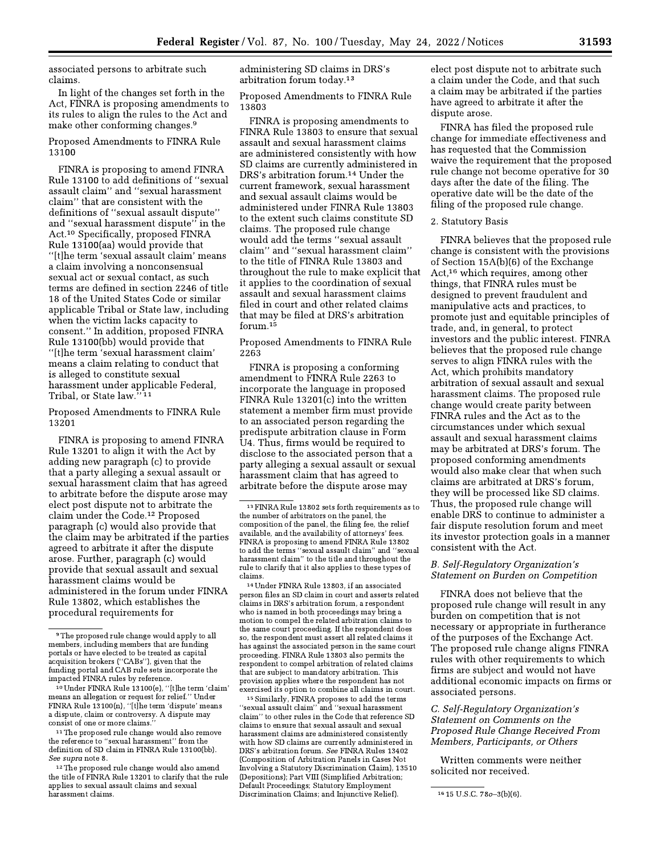associated persons to arbitrate such claims

In light of the changes set forth in the Act, FINRA is proposing amendments to its rules to align the rules to the Act and make other conforming changes.<sup>9</sup>

Proposed Amendments to FINRA Rule 13100

FINRA is proposing to amend FINRA Rule 13100 to add definitions of "sexual assault claim" and "sexual harassment claim" that are consistent with the definitions of "sexual assault dispute" and "sexual harassment dispute" in the Act.<sup>10</sup> Specifically, proposed FINRA Rule 13100(aa) would provide that "[t]he term 'sexual assault claim' means a claim involving a nonconsensual sexual act or sexual contact, as such terms are defined in section 2246 of title 18 of the United States Code or similar applicable Tribal or State law, including when the victim lacks capacity to consent." In addition, proposed FINRA Rule 13100(bb) would provide that "[t]he term 'sexual harassment claim' means a claim relating to conduct that is alleged to constitute sexual harassment under applicable Federal, Tribal, or State law."<sup>11</sup>

Proposed Amendments to FINRA Rule 13201

FINRA is proposing to amend FINRA Rule 13201 to align it with the Act by adding new paragraph (c) to provide that a party alleging a sexual assault or sexual harassment claim that has agreed to arbitrate before the dispute arose may elect post dispute not to arbitrate the claim under the Code.<sup>12</sup> Proposed paragraph (c) would also provide that the claim may be arbitrated if the parties agreed to arbitrate it after the dispute arose. Further, paragraph (c) would provide that sexual assault and sexual harassment claims would be administered in the forum under FINRA Rule 13802, which establishes the procedural requirements for

administering SD claims in DRS's arbitration forum today.<sup>13</sup>

Proposed Amendments to FINRA Rule 13803

FINRA is proposing amendments to FINRA Rule 13803 to ensure that sexual assault and sexual harassment claims are administered consistently with how SD claims are currently administered in DRS's arbitration forum.<sup>14</sup> Under the current framework, sexual harassment and sexual assault claims would be administered under FINRA Rule 13803 to the extent such claims constitute SD claims. The proposed rule change would add the terms "sexual assault claim" and "sexual harassment claim" to the title of FINRA Rule 13803 and throughout the rule to make explicit that it applies to the coordination of sexual assault and sexual harassment claims filed in court and other related claims that may be filed at DRS's arbitration forum.<sup>15</sup>

Proposed Amendments to FINRA Rule 2263

FINRA is proposing a conforming amendment to FINRA Rule 2263 to incorporate the language in proposed FINRA Rule 13201(c) into the written statement a member firm must provide to an associated person regarding the predispute arbitration clause in Form U4. Thus, firms would be required to disclose to the associated person that a party alleging a sexual assault or sexual harassment claim that has agreed to arbitrate before the dispute arose may

<sup>14</sup> Under FINRA Rule 13803, if an associated person files an SD claim in court and asserts related claims in DRS's arbitration forum, a respondent who is named in both proceedings may bring a motion to compel the related arbitration claims to the same court proceeding. If the respondent does so, the respondent must assert all related claims it has against the associated person in the same court proceeding. FINRA Rule 13803 also permits the respondent to compel arbitration of related claims that are subject to mandatory arbitration. This provision applies where the respondent has not exercised its option to combine all claims in court.

<sup>15</sup> Similarly, FINRA proposes to add the terms "sexual assault claim" and "sexual harassment claim" to other rules in the Code that reference SD claims to ensure that sexual assault and sexual harassment claims are administered consistently with how SD claims are currently administered in DRS's arbitration forum. See FINRA Rules 13402 (Composition of Arbitration Panels in Cases Not Involving a Statutory Discrimination Claim), 13510 (Depositions); Part VIII (Simplified Arbitration; Default Proceedings; Statutory Employment Discrimination Claims; and Injunctive Relief).

elect post dispute not to arbitrate such a claim under the Code, and that such a claim may be arbitrated if the parties have agreed to arbitrate it after the dispute arose.

FINRA has filed the proposed rule change for immediate effectiveness and has requested that the Commission waive the requirement that the proposed rule change not become operative for 30 days after the date of the filing. The operative date will be the date of the filing of the proposed rule change.

#### 2. Statutory Basis

FINRA believes that the proposed rule change is consistent with the provisions of Section 15A(b)(6) of the Exchange Act,<sup>16</sup> which requires, among other things, that FINRA rules must be designed to prevent fraudulent and manipulative acts and practices, to promote just and equitable principles of trade, and, in general, to protect investors and the public interest. FINRA believes that the proposed rule change serves to align FINRA rules with the Act, which prohibits mandatory arbitration of sexual assault and sexual harassment claims. The proposed rule change would create parity between FINRA rules and the Act as to the circumstances under which sexual assault and sexual harassment claims may be arbitrated at DRS's forum. The proposed conforming amendments would also make clear that when such claims are arbitrated at DRS's forum, they will be processed like SD claims. Thus, the proposed rule change will enable DRS to continue to administer a fair dispute resolution forum and meet its investor protection goals in a manner consistent with the Act.

## B. Self-Regulatory Organization's Statement on Burden on Competition

FINRA does not believe that the proposed rule change will result in any burden on competition that is not necessary or appropriate in furtherance of the purposes of the Exchange Act. The proposed rule change aligns FINRA rules with other requirements to which firms are subject and would not have additional economic impacts on firms or associated persons.

C. Self-Regulatory Organization's Statement on Comments on the Proposed Rule Change Received From Members, Participants, or Others

Written comments were neither solicited nor received.

<sup>&</sup>lt;sup>9</sup>The proposed rule change would apply to all members, including members that are funding portals or have elected to be treated as capital acquisition brokers ("CABs"), given that the<br>funding portal and CAB rule sets incorporate the impacted FINRA rules by reference.

<sup>&</sup>lt;sup>10</sup> Under FINRA Rule 13100(e), "[t]he term 'claim means an allegation or request for relief." Under FINRA Rule 13100(n), "[t]he term 'dispute' means a dispute, claim or controversy. A dispute may consist of one or more claims.

<sup>&</sup>lt;sup>11</sup> The proposed rule change would also remove the reference to "sexual harassment" from the<br>definition of SD claim in FINRA Rule 13100(bb). See supra note 8.

<sup>&</sup>lt;sup>12</sup> The proposed rule change would also amend the title of FINRA Rule 13201 to clarify that the rule applies to sexual assault claims and sexual harassment claims.

<sup>&</sup>lt;sup>13</sup> FINRA Rule 13802 sets forth requirements as to the number of arbitrators on the panel, the composition of the panel, the filing fee, the relief available, and the availability of attorneys' fees FINRA is proposing to amend FINRA Rule 13802 to add the terms "sexual assault claim" and "sexual harassment claim" to the title and throughout the rule to clarify that it also applies to these types of claims.

<sup>31593</sup> 

<sup>16 15</sup> U.S.C. 780-3(b)(6).